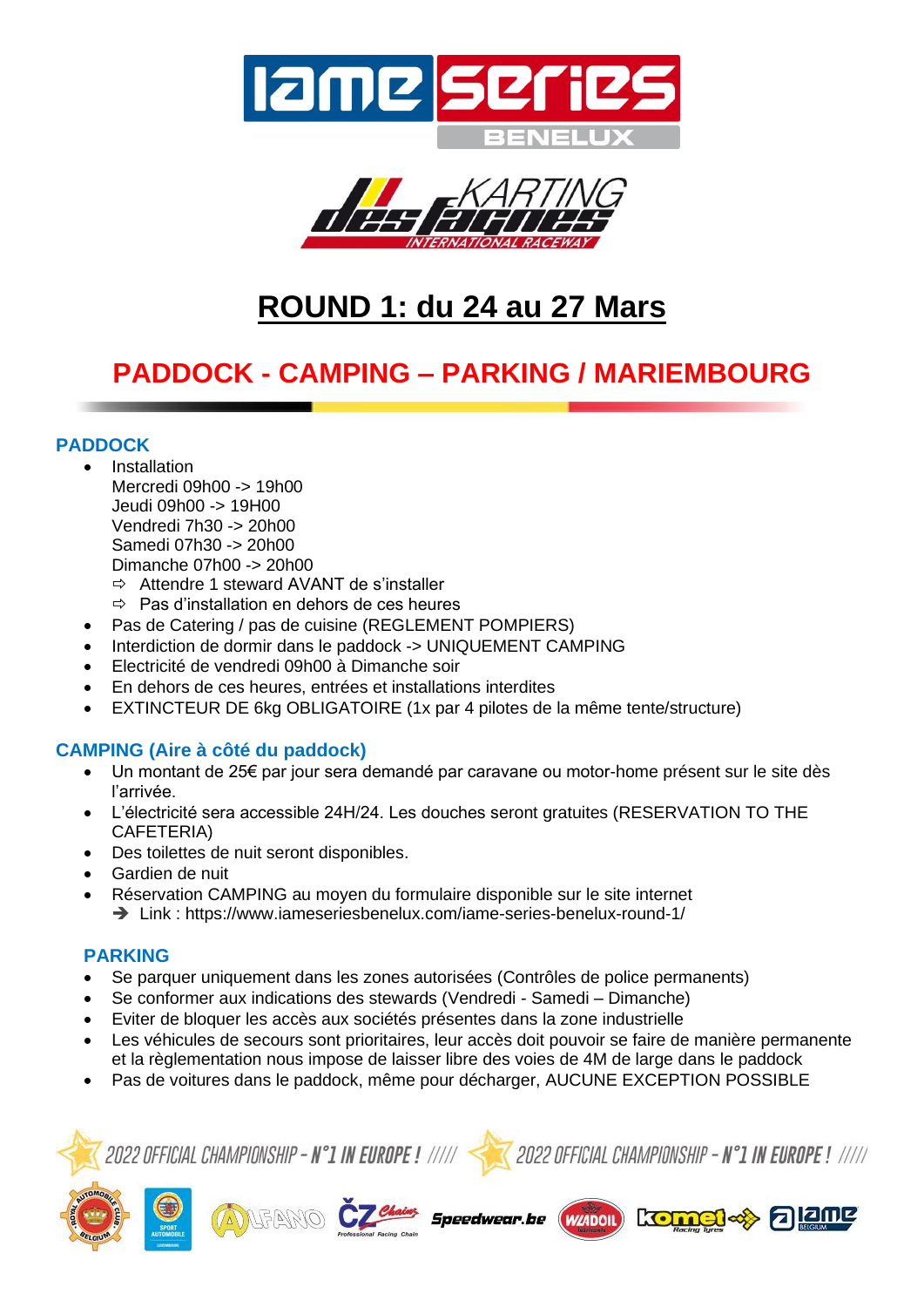



# **ROUND 1: du 24 au 27 Mars**

## **PADDOCK - CAMPING – PARKING / MARIEMBOURG**

### **PADDOCK**

- **Installation** Mercredi 09h00 -> 19h00 Jeudi 09h00 -> 19H00 Vendredi 7h30 -> 20h00 Samedi 07h30 -> 20h00 Dimanche 07h00 -> 20h00
	- Attendre 1 steward AVANT de s'installer
	- $\Rightarrow$  Pas d'installation en dehors de ces heures
- Pas de Catering / pas de cuisine (REGLEMENT POMPIERS)
- Interdiction de dormir dans le paddock -> UNIQUEMENT CAMPING
- Electricité de vendredi 09h00 à Dimanche soir
- En dehors de ces heures, entrées et installations interdites
- EXTINCTEUR DE 6kg OBLIGATOIRE (1x par 4 pilotes de la même tente/structure)

### **CAMPING (Aire à côté du paddock)**

- Un montant de 25€ par jour sera demandé par caravane ou motor-home présent sur le site dès l'arrivée.
- L'électricité sera accessible 24H/24. Les douches seront gratuites (RESERVATION TO THE CAFETERIA)
- Des toilettes de nuit seront disponibles.
- Gardien de nuit
- Réservation CAMPING au moyen du formulaire disponible sur le site internet ➔ Link : https://www.iameseriesbenelux.com/iame-series-benelux-round-1/

### **PARKING**

- Se parquer uniquement dans les zones autorisées (Contrôles de police permanents)
- Se conformer aux indications des stewards (Vendredi Samedi Dimanche)
- Eviter de bloquer les accès aux sociétés présentes dans la zone industrielle
- Les véhicules de secours sont prioritaires, leur accès doit pouvoir se faire de manière permanente et la règlementation nous impose de laisser libre des voies de 4M de large dans le paddock

Speedwear.be

• Pas de voitures dans le paddock, même pour décharger, AUCUNE EXCEPTION POSSIBLE





kom

alane

(WZADOIL)